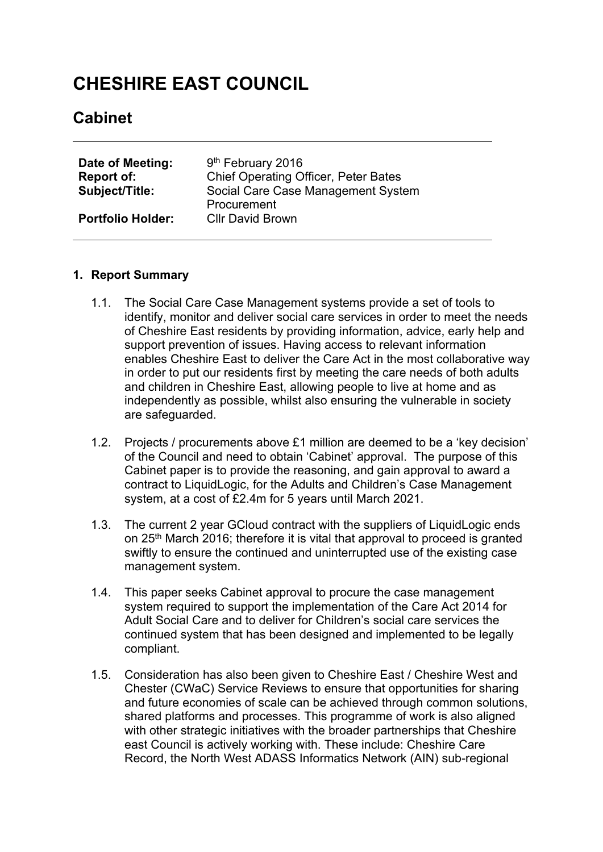# **CHESHIRE EAST COUNCIL**

# **Cabinet**

| Date of Meeting:<br><b>Report of:</b> | 9 <sup>th</sup> February 2016<br><b>Chief Operating Officer, Peter Bates</b> |
|---------------------------------------|------------------------------------------------------------------------------|
| <b>Subject/Title:</b>                 | Social Care Case Management System<br>Procurement                            |
| <b>Portfolio Holder:</b>              | <b>CIIr David Brown</b>                                                      |

#### **1. Report Summary**

- 1.1. The Social Care Case Management systems provide a set of tools to identify, monitor and deliver social care services in order to meet the needs of Cheshire East residents by providing information, advice, early help and support prevention of issues. Having access to relevant information enables Cheshire East to deliver the Care Act in the most collaborative way in order to put our residents first by meeting the care needs of both adults and children in Cheshire East, allowing people to live at home and as independently as possible, whilst also ensuring the vulnerable in society are safeguarded.
- 1.2. Projects / procurements above £1 million are deemed to be a 'key decision' of the Council and need to obtain 'Cabinet' approval. The purpose of this Cabinet paper is to provide the reasoning, and gain approval to award a contract to LiquidLogic, for the Adults and Children's Case Management system, at a cost of £2.4m for 5 years until March 2021.
- 1.3. The current 2 year GCloud contract with the suppliers of LiquidLogic ends on 25th March 2016; therefore it is vital that approval to proceed is granted swiftly to ensure the continued and uninterrupted use of the existing case management system.
- 1.4. This paper seeks Cabinet approval to procure the case management system required to support the implementation of the Care Act 2014 for Adult Social Care and to deliver for Children's social care services the continued system that has been designed and implemented to be legally compliant.
- 1.5. Consideration has also been given to Cheshire East / Cheshire West and Chester (CWaC) Service Reviews to ensure that opportunities for sharing and future economies of scale can be achieved through common solutions, shared platforms and processes. This programme of work is also aligned with other strategic initiatives with the broader partnerships that Cheshire east Council is actively working with. These include: Cheshire Care Record, the North West ADASS Informatics Network (AIN) sub-regional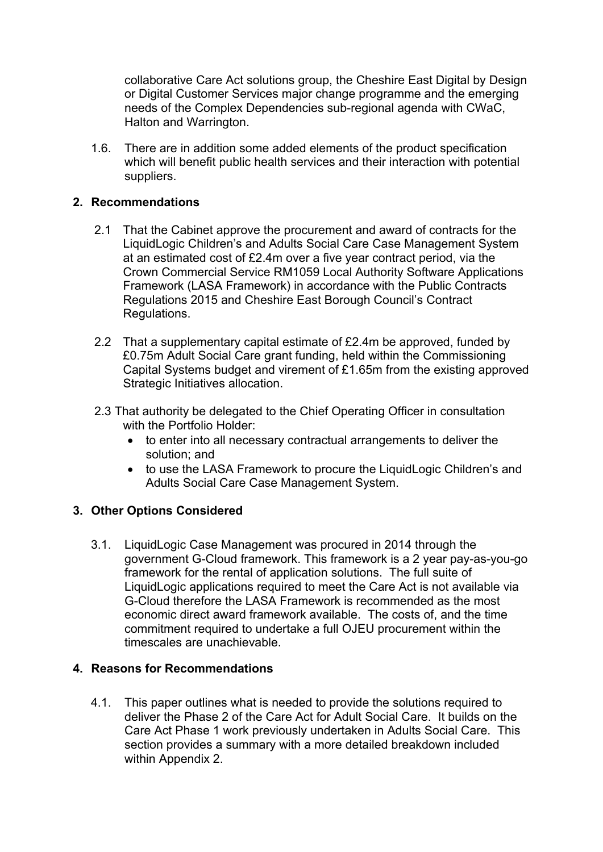collaborative Care Act solutions group, the Cheshire East Digital by Design or Digital Customer Services major change programme and the emerging needs of the Complex Dependencies sub-regional agenda with CWaC, Halton and Warrington.

1.6. There are in addition some added elements of the product specification which will benefit public health services and their interaction with potential suppliers.

#### **2. Recommendations**

- 2.1 That the Cabinet approve the procurement and award of contracts for the LiquidLogic Children's and Adults Social Care Case Management System at an estimated cost of £2.4m over a five year contract period, via the Crown Commercial Service RM1059 Local Authority Software Applications Framework (LASA Framework) in accordance with the Public Contracts Regulations 2015 and Cheshire East Borough Council's Contract Regulations.
- 2.2 That a supplementary capital estimate of £2.4m be approved, funded by £0.75m Adult Social Care grant funding, held within the Commissioning Capital Systems budget and virement of £1.65m from the existing approved Strategic Initiatives allocation.
- 2.3 That authority be delegated to the Chief Operating Officer in consultation with the Portfolio Holder:
	- to enter into all necessary contractual arrangements to deliver the solution; and
	- to use the LASA Framework to procure the LiquidLogic Children's and Adults Social Care Case Management System.

#### **3. Other Options Considered**

3.1. LiquidLogic Case Management was procured in 2014 through the government G-Cloud framework. This framework is a 2 year pay-as-you-go framework for the rental of application solutions. The full suite of LiquidLogic applications required to meet the Care Act is not available via G-Cloud therefore the LASA Framework is recommended as the most economic direct award framework available. The costs of, and the time commitment required to undertake a full OJEU procurement within the timescales are unachievable.

#### **4. Reasons for Recommendations**

4.1. This paper outlines what is needed to provide the solutions required to deliver the Phase 2 of the Care Act for Adult Social Care. It builds on the Care Act Phase 1 work previously undertaken in Adults Social Care. This section provides a summary with a more detailed breakdown included within Appendix 2.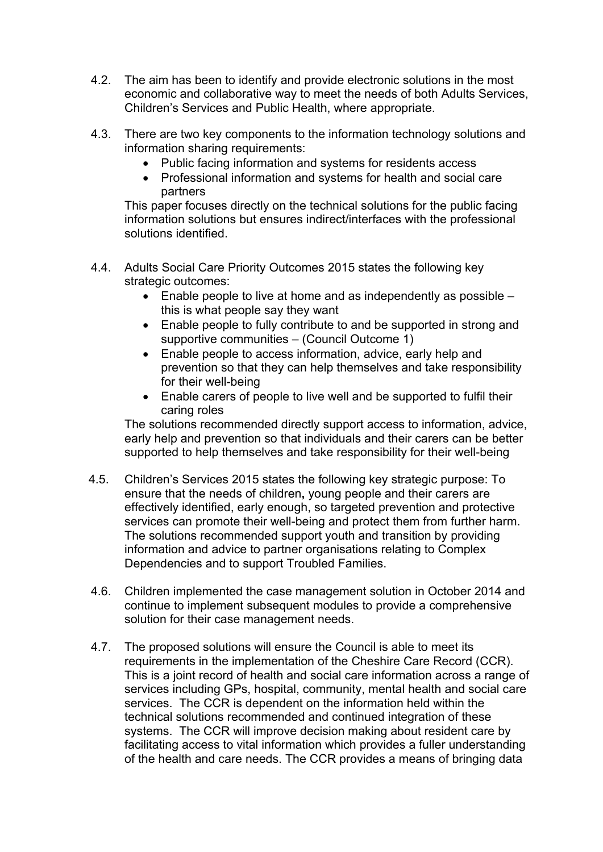- 4.2. The aim has been to identify and provide electronic solutions in the most economic and collaborative way to meet the needs of both Adults Services, Children's Services and Public Health, where appropriate.
- 4.3. There are two key components to the information technology solutions and information sharing requirements:
	- Public facing information and systems for residents access
	- Professional information and systems for health and social care partners

This paper focuses directly on the technical solutions for the public facing information solutions but ensures indirect/interfaces with the professional solutions identified.

- 4.4. Adults Social Care Priority Outcomes 2015 states the following key strategic outcomes:
	- Enable people to live at home and as independently as possible this is what people say they want
	- Enable people to fully contribute to and be supported in strong and supportive communities – (Council Outcome 1)
	- Enable people to access information, advice, early help and prevention so that they can help themselves and take responsibility for their well-being
	- Enable carers of people to live well and be supported to fulfil their caring roles

The solutions recommended directly support access to information, advice, early help and prevention so that individuals and their carers can be better supported to help themselves and take responsibility for their well-being

- 4.5. Children's Services 2015 states the following key strategic purpose: To ensure that the needs of children**,** young people and their carers are effectively identified, early enough, so targeted prevention and protective services can promote their well-being and protect them from further harm. The solutions recommended support youth and transition by providing information and advice to partner organisations relating to Complex Dependencies and to support Troubled Families.
- 4.6. Children implemented the case management solution in October 2014 and continue to implement subsequent modules to provide a comprehensive solution for their case management needs.
- 4.7. The proposed solutions will ensure the Council is able to meet its requirements in the implementation of the Cheshire Care Record (CCR). This is a joint record of health and social care information across a range of services including GPs, hospital, community, mental health and social care services. The CCR is dependent on the information held within the technical solutions recommended and continued integration of these systems. The CCR will improve decision making about resident care by facilitating access to vital information which provides a fuller understanding of the health and care needs. The CCR provides a means of bringing data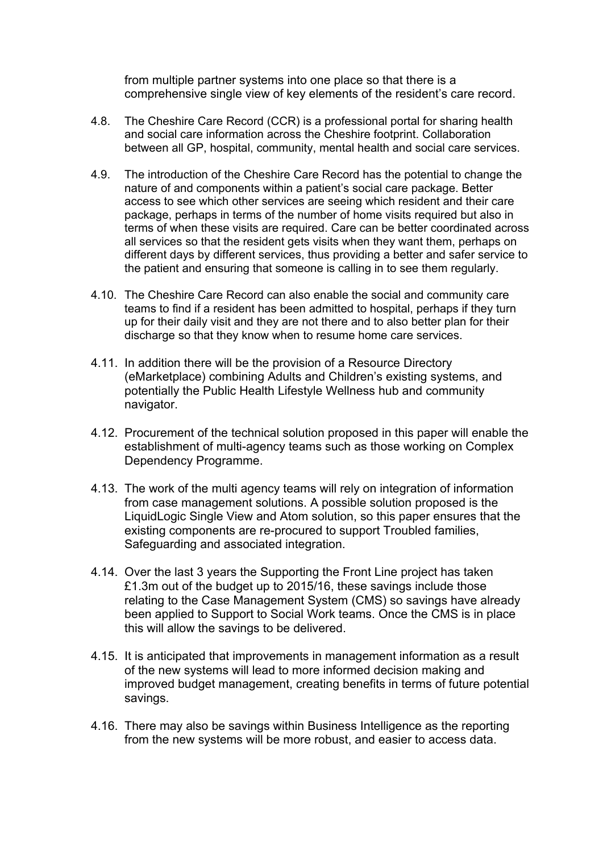from multiple partner systems into one place so that there is a comprehensive single view of key elements of the resident's care record.

- 4.8. The Cheshire Care Record (CCR) is a professional portal for sharing health and social care information across the Cheshire footprint. Collaboration between all GP, hospital, community, mental health and social care services.
- 4.9. The introduction of the Cheshire Care Record has the potential to change the nature of and components within a patient's social care package. Better access to see which other services are seeing which resident and their care package, perhaps in terms of the number of home visits required but also in terms of when these visits are required. Care can be better coordinated across all services so that the resident gets visits when they want them, perhaps on different days by different services, thus providing a better and safer service to the patient and ensuring that someone is calling in to see them regularly.
- 4.10. The Cheshire Care Record can also enable the social and community care teams to find if a resident has been admitted to hospital, perhaps if they turn up for their daily visit and they are not there and to also better plan for their discharge so that they know when to resume home care services.
- 4.11. In addition there will be the provision of a Resource Directory (eMarketplace) combining Adults and Children's existing systems, and potentially the Public Health Lifestyle Wellness hub and community navigator.
- 4.12. Procurement of the technical solution proposed in this paper will enable the establishment of multi-agency teams such as those working on Complex Dependency Programme.
- 4.13. The work of the multi agency teams will rely on integration of information from case management solutions. A possible solution proposed is the LiquidLogic Single View and Atom solution, so this paper ensures that the existing components are re-procured to support Troubled families, Safeguarding and associated integration.
- 4.14. Over the last 3 years the Supporting the Front Line project has taken £1.3m out of the budget up to 2015/16, these savings include those relating to the Case Management System (CMS) so savings have already been applied to Support to Social Work teams. Once the CMS is in place this will allow the savings to be delivered.
- 4.15. It is anticipated that improvements in management information as a result of the new systems will lead to more informed decision making and improved budget management, creating benefits in terms of future potential savings.
- 4.16. There may also be savings within Business Intelligence as the reporting from the new systems will be more robust, and easier to access data.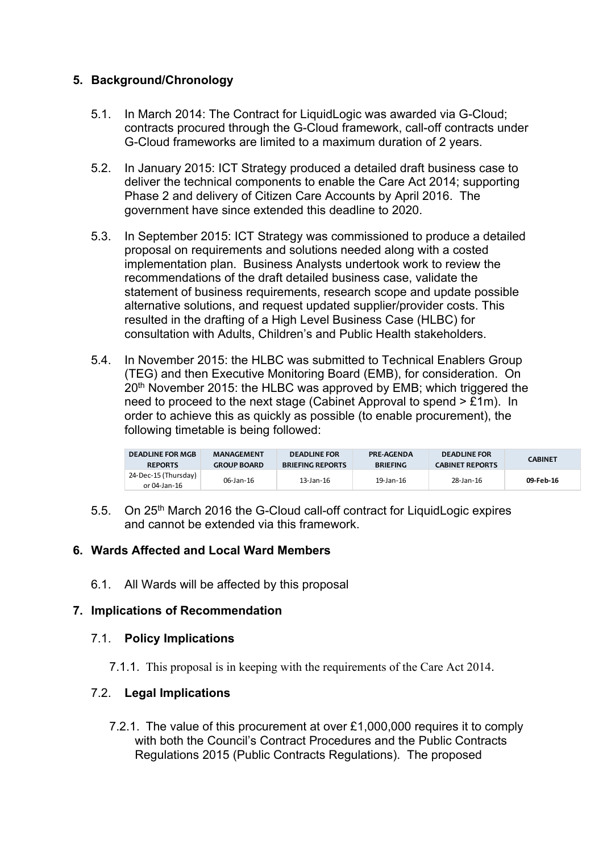# **5. Background/Chronology**

- 5.1. In March 2014: The Contract for LiquidLogic was awarded via G-Cloud; contracts procured through the G-Cloud framework, call-off contracts under G-Cloud frameworks are limited to a maximum duration of 2 years.
- 5.2. In January 2015: ICT Strategy produced a detailed draft business case to deliver the technical components to enable the Care Act 2014; supporting Phase 2 and delivery of Citizen Care Accounts by April 2016. The government have since extended this deadline to 2020.
- 5.3. In September 2015: ICT Strategy was commissioned to produce a detailed proposal on requirements and solutions needed along with a costed implementation plan. Business Analysts undertook work to review the recommendations of the draft detailed business case, validate the statement of business requirements, research scope and update possible alternative solutions, and request updated supplier/provider costs. This resulted in the drafting of a High Level Business Case (HLBC) for consultation with Adults, Children's and Public Health stakeholders.
- 5.4. In November 2015: the HLBC was submitted to Technical Enablers Group (TEG) and then Executive Monitoring Board (EMB), for consideration. On 20<sup>th</sup> November 2015: the HLBC was approved by EMB; which triggered the need to proceed to the next stage (Cabinet Approval to spend > £1m). In order to achieve this as quickly as possible (to enable procurement), the following timetable is being followed:

| <b>DEADLINE FOR MGB</b>              | <b>MANAGFMFNT</b>  | DEADLINE FOR            | <b>PRF-AGFNDA</b> | <b>DEADLINE FOR</b>    | <b>CABINET</b> |
|--------------------------------------|--------------------|-------------------------|-------------------|------------------------|----------------|
| <b>REPORTS</b>                       | <b>GROUP BOARD</b> | <b>BRIEFING REPORTS</b> | <b>BRIEFING</b>   | <b>CABINET REPORTS</b> |                |
| 24-Dec-15 (Thursday)<br>or 04-Jan-16 | $06$ -Jan-16       | $13$ -Jan- $16$         | 19-Jan-16         | 28-Jan-16              | 09-Feb-16      |

5.5. On 25th March 2016 the G-Cloud call-off contract for LiquidLogic expires and cannot be extended via this framework.

# **6. Wards Affected and Local Ward Members**

6.1. All Wards will be affected by this proposal

# **7. Implications of Recommendation**

#### 7.1. **Policy Implications**

7.1.1. This proposal is in keeping with the requirements of the Care Act 2014.

#### 7.2. **Legal Implications**

7.2.1. The value of this procurement at over £1,000,000 requires it to comply with both the Council's Contract Procedures and the Public Contracts Regulations 2015 (Public Contracts Regulations). The proposed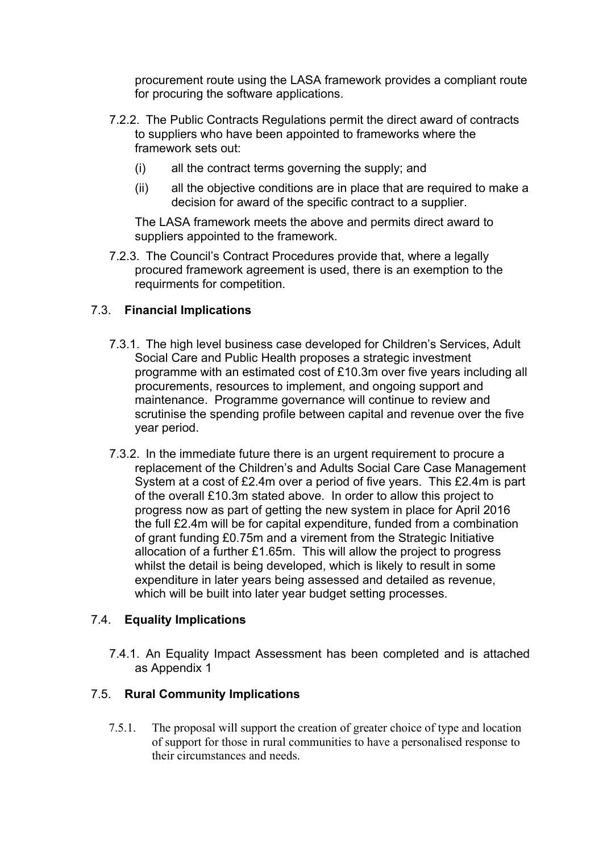procurement route using the LASA framework provides a compliant route for procuring the software applications.

- 7.2.2. The Public Contracts Regulations permit the direct award of contracts to suppliers who have been appointed to frameworks where the framework sets out:
	- (i) all the contract terms governing the supply; and
	- (ii) all the objective conditions are in place that are required to make a decision for award of the specific contract to a supplier.

The LASA framework meets the above and permits direct award to suppliers appointed to the framework.

7.2.3. The Council's Contract Procedures provide that, where a legally procured framework agreement is used, there is an exemption to the requirments for competition.

# 7.3. **Financial Implications**

- 7.3.1. The high level business case developed for Children's Services, Adult Social Care and Public Health proposes a strategic investment programme with an estimated cost of £10.3m over five years including all procurements, resources to implement, and ongoing support and maintenance. Programme governance will continue to review and scrutinise the spending profile between capital and revenue over the five year period.
- 7.3.2. In the immediate future there is an urgent requirement to procure a replacement of the Children's and Adults Social Care Case Management System at a cost of £2.4m over a period of five years. This £2.4m is part of the overall £10.3m stated above. In order to allow this project to progress now as part of getting the new system in place for April 2016 the full £2.4m will be for capital expenditure, funded from a combination of grant funding £0.75m and a virement from the Strategic Initiative allocation of a further £1.65m. This will allow the project to progress whilst the detail is being developed, which is likely to result in some expenditure in later years being assessed and detailed as revenue, which will be built into later year budget setting processes.

# 7.4. **Equality Implications**

7.4.1. An Equality Impact Assessment has been completed and is attached as Appendix 1

# 7.5. **Rural Community Implications**

7.5.1. The proposal will support the creation of greater choice of type and location of support for those in rural communities to have a personalised response to their circumstances and needs.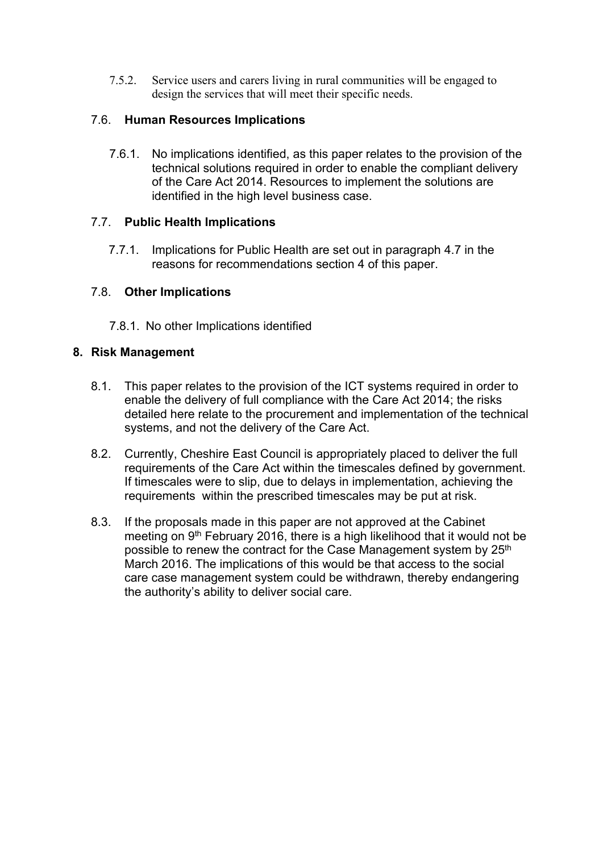7.5.2. Service users and carers living in rural communities will be engaged to design the services that will meet their specific needs.

# 7.6. **Human Resources Implications**

7.6.1. No implications identified, as this paper relates to the provision of the technical solutions required in order to enable the compliant delivery of the Care Act 2014. Resources to implement the solutions are identified in the high level business case.

# 7.7. **Public Health Implications**

7.7.1. Implications for Public Health are set out in paragraph 4.7 in the reasons for recommendations section 4 of this paper.

# 7.8. **Other Implications**

7.8.1. No other Implications identified

# **8. Risk Management**

- 8.1. This paper relates to the provision of the ICT systems required in order to enable the delivery of full compliance with the Care Act 2014; the risks detailed here relate to the procurement and implementation of the technical systems, and not the delivery of the Care Act.
- 8.2. Currently, Cheshire East Council is appropriately placed to deliver the full requirements of the Care Act within the timescales defined by government. If timescales were to slip, due to delays in implementation, achieving the requirements within the prescribed timescales may be put at risk.
- 8.3. If the proposals made in this paper are not approved at the Cabinet meeting on 9<sup>th</sup> February 2016, there is a high likelihood that it would not be possible to renew the contract for the Case Management system by 25<sup>th</sup> March 2016. The implications of this would be that access to the social care case management system could be withdrawn, thereby endangering the authority's ability to deliver social care.